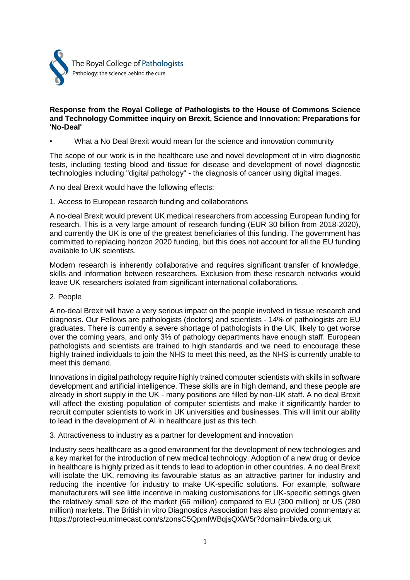

## **Response from the Royal College of Pathologists to the House of Commons Science and Technology Committee inquiry on Brexit, Science and Innovation: Preparations for 'No-Deal'**

• What a No Deal Brexit would mean for the science and innovation community

The scope of our work is in the healthcare use and novel development of in vitro diagnostic tests, including testing blood and tissue for disease and development of novel diagnostic technologies including "digital pathology" - the diagnosis of cancer using digital images.

A no deal Brexit would have the following effects:

1. Access to European research funding and collaborations

A no-deal Brexit would prevent UK medical researchers from accessing European funding for research. This is a very large amount of research funding (EUR 30 billion from 2018-2020), and currently the UK is one of the greatest beneficiaries of this funding. The government has committed to replacing horizon 2020 funding, but this does not account for all the EU funding available to UK scientists.

Modern research is inherently collaborative and requires significant transfer of knowledge, skills and information between researchers. Exclusion from these research networks would leave UK researchers isolated from significant international collaborations.

# 2. People

A no-deal Brexit will have a very serious impact on the people involved in tissue research and diagnosis. Our Fellows are pathologists (doctors) and scientists - 14% of pathologists are EU graduates. There is currently a severe shortage of pathologists in the UK, likely to get worse over the coming years, and only 3% of pathology departments have enough staff. European pathologists and scientists are trained to high standards and we need to encourage these highly trained individuals to join the NHS to meet this need, as the NHS is currently unable to meet this demand.

Innovations in digital pathology require highly trained computer scientists with skills in software development and artificial intelligence. These skills are in high demand, and these people are already in short supply in the UK - many positions are filled by non-UK staff. A no deal Brexit will affect the existing population of computer scientists and make it significantly harder to recruit computer scientists to work in UK universities and businesses. This will limit our ability to lead in the development of AI in healthcare just as this tech.

### 3. Attractiveness to industry as a partner for development and innovation

Industry sees healthcare as a good environment for the development of new technologies and a key market for the introduction of new medical technology. Adoption of a new drug or device in healthcare is highly prized as it tends to lead to adoption in other countries. A no deal Brexit will isolate the UK, removing its favourable status as an attractive partner for industry and reducing the incentive for industry to make UK-specific solutions. For example, software manufacturers will see little incentive in making customisations for UK-specific settings given the relatively small size of the market (66 million) compared to EU (300 million) or US (280 million) markets. The British in vitro Diagnostics Association has also provided commentary at https://protect-eu.mimecast.com/s/zonsC5QpmIWBqjsQXW5r?domain=bivda.org.uk